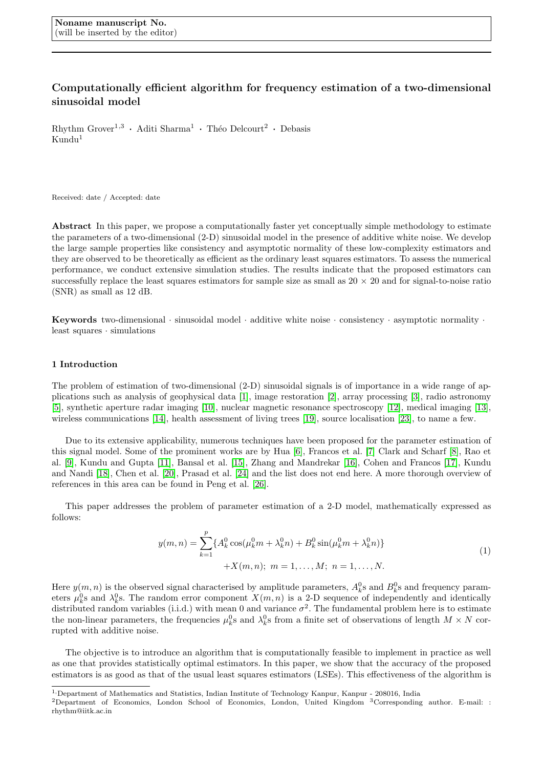# Computationally efficient algorithm for frequency estimation of a two-dimensional sinusoidal model

 $Rhythm\ Grover<sup>1,3</sup>$  • Aditi Sharma<sup>1</sup> • Théo Delcourt<sup>2</sup> • Debasis  $Kundu<sup>1</sup>$ 

Received: date / Accepted: date

Abstract In this paper, we propose a computationally faster yet conceptually simple methodology to estimate the parameters of a two-dimensional (2-D) sinusoidal model in the presence of additive white noise. We develop the large sample properties like consistency and asymptotic normality of these low-complexity estimators and they are observed to be theoretically as efficient as the ordinary least squares estimators. To assess the numerical performance, we conduct extensive simulation studies. The results indicate that the proposed estimators can successfully replace the least squares estimators for sample size as small as  $20 \times 20$  and for signal-to-noise ratio (SNR) as small as 12 dB.

**Keywords** two-dimensional  $\cdot$  sinusoidal model  $\cdot$  additive white noise  $\cdot$  consistency  $\cdot$  asymptotic normality  $\cdot$ least squares · simulations

# 1 Introduction

The problem of estimation of two-dimensional (2-D) sinusoidal signals is of importance in a wide range of applications such as analysis of geophysical data [\[1\]](#page-14-0), image restoration [\[2\]](#page-14-1), array processing [\[3\]](#page-14-2), radio astronomy [\[5\]](#page-14-3), synthetic aperture radar imaging [\[10\]](#page-15-0), nuclear magnetic resonance spectroscopy [\[12\]](#page-15-1), medical imaging [\[13\]](#page-15-2), wireless communications [\[14\]](#page-15-3), health assessment of living trees [\[19\]](#page-15-4), source localisation [\[23\]](#page-15-5), to name a few.

Due to its extensive applicability, numerous techniques have been proposed for the parameter estimation of this signal model. Some of the prominent works are by Hua [\[6\]](#page-14-4), Francos et al. [\[7\]](#page-14-5) Clark and Scharf [\[8\]](#page-14-6), Rao et al. [\[9\]](#page-15-6), Kundu and Gupta [\[11\]](#page-15-7), Bansal et al. [\[15\]](#page-15-8), Zhang and Mandrekar [\[16\]](#page-15-9), Cohen and Francos [\[17\]](#page-15-10), Kundu and Nandi [\[18\]](#page-15-11), Chen et al. [\[20\]](#page-15-12), Prasad et al. [\[24\]](#page-15-13) and the list does not end here. A more thorough overview of references in this area can be found in Peng et al. [\[26\]](#page-15-14).

This paper addresses the problem of parameter estimation of a 2-D model, mathematically expressed as follows:

$$
y(m,n) = \sum_{k=1}^{p} \{A_k^0 \cos(\mu_k^0 m + \lambda_k^0 n) + B_k^0 \sin(\mu_k^0 m + \lambda_k^0 n)\} + X(m,n); \ m = 1, \dots, M; \ n = 1, \dots, N.
$$
 (1)

<span id="page-0-0"></span>Here  $y(m, n)$  is the observed signal characterised by amplitude parameters,  $A_k^0$ s and  $B_k^0$ s and frequency parameters  $\mu_k^0$ s and  $\lambda_k^0$ s. The random error component  $X(m,n)$  is a 2-D sequence of independently and identically distributed random variables (i.i.d.) with mean 0 and variance  $\sigma^2$ . The fundamental problem here is to estimate the non-linear parameters, the frequencies  $\mu_k^0$ s and  $\lambda_k^0$ s from a finite set of observations of length  $M \times N$  corrupted with additive noise.

The objective is to introduce an algorithm that is computationally feasible to implement in practice as well as one that provides statistically optimal estimators. In this paper, we show that the accuracy of the proposed estimators is as good as that of the usual least squares estimators (LSEs). This effectiveness of the algorithm is

<sup>1,</sup>Department of Mathematics and Statistics, Indian Institute of Technology Kanpur, Kanpur - 208016, India

<sup>2</sup>Department of Economics, London School of Economics, London, United Kingdom <sup>3</sup>Corresponding author. E-mail: : rhythm@iitk.ac.in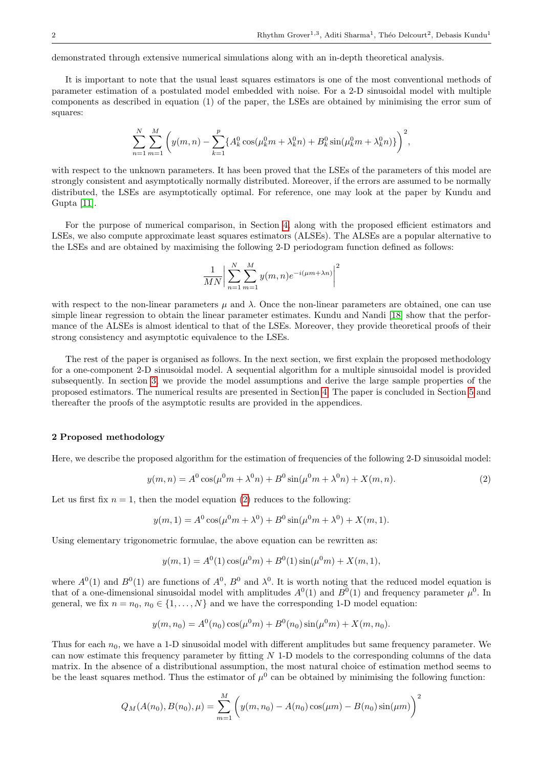demonstrated through extensive numerical simulations along with an in-depth theoretical analysis.

It is important to note that the usual least squares estimators is one of the most conventional methods of parameter estimation of a postulated model embedded with noise. For a 2-D sinusoidal model with multiple components as described in equation (1) of the paper, the LSEs are obtained by minimising the error sum of squares:

$$
\sum_{n=1}^{N} \sum_{m=1}^{M} \left( y(m,n) - \sum_{k=1}^{p} \{ A_k^0 \cos(\mu_k^0 m + \lambda_k^0 n) + B_k^0 \sin(\mu_k^0 m + \lambda_k^0 n) \} \right)^2,
$$

with respect to the unknown parameters. It has been proved that the LSEs of the parameters of this model are strongly consistent and asymptotically normally distributed. Moreover, if the errors are assumed to be normally distributed, the LSEs are asymptotically optimal. For reference, one may look at the paper by Kundu and Gupta [\[11\]](#page-15-7).

For the purpose of numerical comparison, in Section [4,](#page-4-0) along with the proposed efficient estimators and LSEs, we also compute approximate least squares estimators (ALSEs). The ALSEs are a popular alternative to the LSEs and are obtained by maximising the following 2-D periodogram function defined as follows:

$$
\frac{1}{MN} \bigg| \sum_{n=1}^{N} \sum_{m=1}^{M} y(m,n) e^{-i(\mu m + \lambda n)} \bigg|^2
$$

with respect to the non-linear parameters  $\mu$  and  $\lambda$ . Once the non-linear parameters are obtained, one can use simple linear regression to obtain the linear parameter estimates. Kundu and Nandi [\[18\]](#page-15-11) show that the performance of the ALSEs is almost identical to that of the LSEs. Moreover, they provide theoretical proofs of their strong consistency and asymptotic equivalence to the LSEs.

The rest of the paper is organised as follows. In the next section, we first explain the proposed methodology for a one-component 2-D sinusoidal model. A sequential algorithm for a multiple sinusoidal model is provided subsequently. In section [3,](#page-2-0) we provide the model assumptions and derive the large sample properties of the proposed estimators. The numerical results are presented in Section [4.](#page-4-0) The paper is concluded in Section [5](#page-7-0) and thereafter the proofs of the asymptotic results are provided in the appendices.

# 2 Proposed methodology

Here, we describe the proposed algorithm for the estimation of frequencies of the following 2-D sinusoidal model:

<span id="page-1-0"></span>
$$
y(m,n) = A^0 \cos(\mu^0 m + \lambda^0 n) + B^0 \sin(\mu^0 m + \lambda^0 n) + X(m,n). \tag{2}
$$

Let us first fix  $n = 1$ , then the model equation [\(2\)](#page-1-0) reduces to the following:

$$
y(m, 1) = A^{0} \cos(\mu^{0} m + \lambda^{0}) + B^{0} \sin(\mu^{0} m + \lambda^{0}) + X(m, 1).
$$

Using elementary trigonometric formulae, the above equation can be rewritten as:

$$
y(m, 1) = A^{0}(1)\cos(\mu^{0}m) + B^{0}(1)\sin(\mu^{0}m) + X(m, 1),
$$

where  $A^0(1)$  and  $B^0(1)$  are functions of  $A^0$ ,  $B^0$  and  $\lambda^0$ . It is worth noting that the reduced model equation is that of a one-dimensional sinusoidal model with amplitudes  $A^0(1)$  and  $B^0(1)$  and frequency parameter  $\mu^0$ . In general, we fix  $n = n_0, n_0 \in \{1, ..., N\}$  and we have the corresponding 1-D model equation:

$$
y(m, n_0) = A^0(n_0) \cos(\mu^0 m) + B^0(n_0) \sin(\mu^0 m) + X(m, n_0).
$$

Thus for each  $n_0$ , we have a 1-D sinusoidal model with different amplitudes but same frequency parameter. We can now estimate this frequency parameter by fitting  $N$  1-D models to the corresponding columns of the data matrix. In the absence of a distributional assumption, the most natural choice of estimation method seems to be the least squares method. Thus the estimator of  $\mu^0$  can be obtained by minimising the following function:

$$
Q_M(A(n_0), B(n_0), \mu) = \sum_{m=1}^M \left( y(m, n_0) - A(n_0) \cos(\mu m) - B(n_0) \sin(\mu m) \right)^2
$$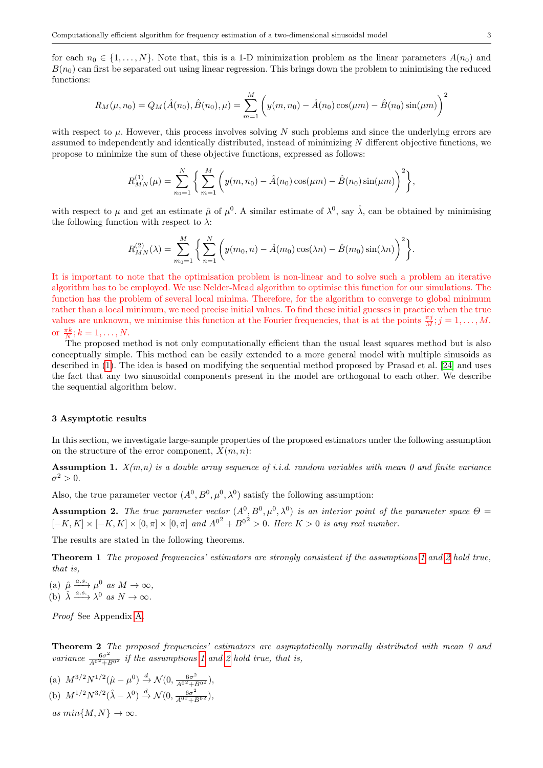for each  $n_0 \in \{1, \ldots, N\}$ . Note that, this is a 1-D minimization problem as the linear parameters  $A(n_0)$  and  $B(n_0)$  can first be separated out using linear regression. This brings down the problem to minimising the reduced functions:

$$
R_M(\mu, n_0) = Q_M(\hat{A}(n_0), \hat{B}(n_0), \mu) = \sum_{m=1}^M \left( y(m, n_0) - \hat{A}(n_0) \cos(\mu m) - \hat{B}(n_0) \sin(\mu m) \right)^2
$$

with respect to  $\mu$ . However, this process involves solving N such problems and since the underlying errors are assumed to independently and identically distributed, instead of minimizing N different objective functions, we propose to minimize the sum of these objective functions, expressed as follows:

$$
R_{MN}^{(1)}(\mu) = \sum_{n_0=1}^N \left\{ \sum_{m=1}^M \left( y(m, n_0) - \hat{A}(n_0) \cos(\mu m) - \hat{B}(n_0) \sin(\mu m) \right)^2 \right\},\,
$$

with respect to  $\mu$  and get an estimate  $\hat{\mu}$  of  $\mu^0$ . A similar estimate of  $\lambda^0$ , say  $\hat{\lambda}$ , can be obtained by minimising the following function with respect to  $\lambda$ :

$$
R_{MN}^{(2)}(\lambda) = \sum_{m_0=1}^{M} \left\{ \sum_{n=1}^{N} \left( y(m_0, n) - \hat{A}(m_0) \cos(\lambda n) - \hat{B}(m_0) \sin(\lambda n) \right)^2 \right\}.
$$

It is important to note that the optimisation problem is non-linear and to solve such a problem an iterative algorithm has to be employed. We use Nelder-Mead algorithm to optimise this function for our simulations. The function has the problem of several local minima. Therefore, for the algorithm to converge to global minimum rather than a local minimum, we need precise initial values. To find these initial guesses in practice when the true values are unknown, we minimise this function at the Fourier frequencies, that is at the points  $\frac{\pi j}{M}$ ;  $j = 1, \ldots, M$ . or  $\frac{\pi k}{N}$ ;  $k = 1, \ldots, N$ .

The proposed method is not only computationally efficient than the usual least squares method but is also conceptually simple. This method can be easily extended to a more general model with multiple sinusoids as described in [\(1\)](#page-0-0). The idea is based on modifying the sequential method proposed by Prasad et al. [\[24\]](#page-15-13) and uses the fact that any two sinusoidal components present in the model are orthogonal to each other. We describe the sequential algorithm below.

#### <span id="page-2-0"></span>3 Asymptotic results

In this section, we investigate large-sample properties of the proposed estimators under the following assumption on the structure of the error component,  $X(m, n)$ :

<span id="page-2-1"></span>**Assumption 1.**  $X(m,n)$  is a double array sequence of i.i.d. random variables with mean 0 and finite variance  $\sigma^2 > 0$ .

Also, the true parameter vector  $(A^0, B^0, \mu^0, \lambda^0)$  satisfy the following assumption:

<span id="page-2-2"></span>**Assumption 2.** The true parameter vector  $(A^0, B^0, \mu^0, \lambda^0)$  is an interior point of the parameter space  $\Theta =$  $[-K, K] \times [-K, K] \times [0, \pi] \times [0, \pi]$  and  $A^{0^2} + B^{0^2} > 0$ . Here  $K > 0$  is any real number.

<span id="page-2-3"></span>The results are stated in the following theorems.

Theorem 1 The proposed frequencies' estimators are strongly consistent if the assumptions [1](#page-2-1) and [2](#page-2-2) hold true, that is,

(a)  $\hat{\mu} \xrightarrow{a.s.} \mu^0 \text{ as } M \to \infty,$ (b)  $\hat{\lambda} \xrightarrow{a.s.} \lambda^0 \text{ as } N \to \infty.$ 

Proof See Appendix [A.](#page-7-1)

<span id="page-2-4"></span>Theorem 2 The proposed frequencies' estimators are asymptotically normally distributed with mean 0 and variance  $\frac{6\sigma^2}{A^{02}+B^{02}}$  if the assumptions [1](#page-2-1) and [2](#page-2-2) hold true, that is,

(a)  $M^{3/2}N^{1/2}(\hat{\mu}-\mu^0) \stackrel{d}{\rightarrow} \mathcal{N}(0, \frac{6\sigma^2}{A^{0^2}+B^{0^2}})$ , (b)  $M^{1/2} N^{3/2} (\hat{\lambda} - \lambda^0) \xrightarrow{d} \mathcal{N}(0, \frac{6\sigma^2}{A^{02} + B^{02}})$ ,

as  $min\{M, N\} \rightarrow \infty$ .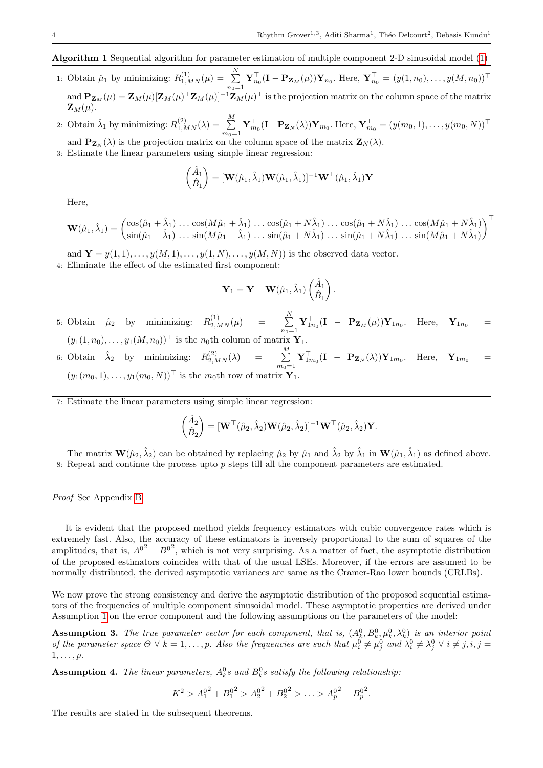# Algorithm 1 Sequential algorithm for parameter estimation of multiple component 2-D sinusoidal model [\(1\)](#page-0-0)

- 1: Obtain  $\hat{\mu}_1$  by minimizing:  $R_{1,MN}^{(1)}(\mu) = \sum_{n=1}^{N}$  $n_0=1$  $\mathbf{Y}_{n_0}^{\top}(\mathbf{I} - \mathbf{P}_{\mathbf{Z}_M}(\mu)) \mathbf{Y}_{n_0}$ . Here,  $\mathbf{Y}_{n_0}^{\top} = (y(1, n_0), \dots, y(M, n_0))^{\top}$ and  ${\bf P}_{{\bf Z}_M}(\mu)={\bf Z}_M(\mu)[{\bf Z}_M(\mu)^\top{\bf Z}_M(\mu)]^{-1}{\bf Z}_M(\mu)^\top$  is the projection matrix on the column space of the matrix  $\mathbf{Z}_M(\mu)$ .
- 2: Obtain  $\hat{\lambda}_1$  by minimizing:  $R_{1,MN}^{(2)}(\lambda) = \sum_{i=1}^{M}$  $m_0=1$  $\mathbf{Y}_{m_0}^{\top}(\mathbf{I}-\mathbf{P}_{\mathbf{Z}_N}(\lambda))\mathbf{Y}_{m_0}$ . Here,  $\mathbf{Y}_{m_0}^{\top}=(y(m_0,1),\ldots,y(m_0,N))^{\top}$
- and  $\mathbf{P}_{\mathbf{Z}_N}(\lambda)$  is the projection matrix on the column space of the matrix  $\mathbf{Z}_N(\lambda)$ .
- 3: Estimate the linear parameters using simple linear regression:

$$
\begin{pmatrix} \hat{A}_1 \\ \hat{B}_1 \end{pmatrix} = [\mathbf{W}(\hat{\mu}_1, \hat{\lambda}_1) \mathbf{W}(\hat{\mu}_1, \hat{\lambda}_1)]^{-1} \mathbf{W}^\top (\hat{\mu}_1, \hat{\lambda}_1) \mathbf{Y}
$$

Here,

$$
\mathbf{W}(\hat{\mu}_1, \hat{\lambda}_1) = \begin{pmatrix} \cos(\hat{\mu}_1 + \hat{\lambda}_1) \dots \cos(M\hat{\mu}_1 + \hat{\lambda}_1) \dots \cos(\hat{\mu}_1 + N\hat{\lambda}_1) \dots \cos(\hat{\mu}_1 + N\hat{\lambda}_1) \dots \cos(M\hat{\mu}_1 + N\hat{\lambda}_1) \\ \sin(\hat{\mu}_1 + \hat{\lambda}_1) \dots \sin(M\hat{\mu}_1 + \hat{\lambda}_1) \dots \sin(\hat{\mu}_1 + N\hat{\lambda}_1) \dots \sin(\hat{\mu}_1 + N\hat{\lambda}_1) \dots \sin(M\hat{\mu}_1 + N\hat{\lambda}_1) \end{pmatrix}^\top
$$

and  $\mathbf{Y} = y(1,1), \ldots, y(M,1), \ldots, y(1,N), \ldots, y(M,N))$  is the observed data vector.

4: Eliminate the effect of the estimated first component:

$$
\mathbf{Y}_1 = \mathbf{Y} - \mathbf{W}(\hat{\mu}_1, \hat{\lambda}_1) \begin{pmatrix} \hat{A}_1 \\ \hat{B}_1 \end{pmatrix}.
$$

- 5: Obtain  $\hat{\mu}_2$  by minimizing:  $R_{2,MN}^{(1)}(\mu)$  =  $\sum_{n=1}^{N} \mathbf{Y}_{1n_0}^{\top} (\mathbf{I} \mathbf{P}_{\mathbf{Z}_M}(\mu)) \mathbf{Y}_{1n_0}$ . Here,  $\mathbf{Y}_{1n_0}$  =  $(y_1(1, n_0), \ldots, y_1(M, n_0))^{\top}$  is the  $n_0$ th column of matrix  $\mathbf{Y}_1$ . 6: Obtain  $\hat{\lambda}_2$  by minimizing:  $R_{2,MN}^{(2)}(\lambda) = \sum_{i=1}^{M}$  $m_0=1$  $\mathbf{Y}_{1m_0}^{\top}(\mathbf{I} - \mathbf{P}_{\mathbf{Z}_N}(\lambda))\mathbf{Y}_{1m_0}$ . Here,  $\mathbf{Y}_{1m_0} =$  $(y_1(m_0, 1), \ldots, y_1(m_0, N))^{\top}$  is the m<sub>0</sub>th row of matrix Y
- 7: Estimate the linear parameters using simple linear regression:

$$
\begin{pmatrix} \hat{A}_2 \\ \hat{B}_2 \end{pmatrix} = [\mathbf{W}^\top(\hat{\mu}_2, \hat{\lambda}_2) \mathbf{W}(\hat{\mu}_2, \hat{\lambda}_2)]^{-1} \mathbf{W}^\top(\hat{\mu}_2, \hat{\lambda}_2) \mathbf{Y}.
$$

The matrix  $\mathbf{W}(\hat{\mu}_2, \hat{\lambda}_2)$  can be obtained by replacing  $\hat{\mu}_2$  by  $\hat{\mu}_1$  and  $\hat{\lambda}_2$  by  $\hat{\lambda}_1$  in  $\mathbf{W}(\hat{\mu}_1, \hat{\lambda}_1)$  as defined above. 8: Repeat and continue the process upto  $p$  steps till all the component parameters are estimated.

Proof See Appendix [B.](#page-8-0)

It is evident that the proposed method yields frequency estimators with cubic convergence rates which is extremely fast. Also, the accuracy of these estimators is inversely proportional to the sum of squares of the amplitudes, that is,  $A^{0^2} + B^{0^2}$ , which is not very surprising. As a matter of fact, the asymptotic distribution of the proposed estimators coincides with that of the usual LSEs. Moreover, if the errors are assumed to be normally distributed, the derived asymptotic variances are same as the Cramer-Rao lower bounds (CRLBs).

We now prove the strong consistency and derive the asymptotic distribution of the proposed sequential estimators of the frequencies of multiple component sinusoidal model. These asymptotic properties are derived under Assumption [1](#page-2-1) on the error component and the following assumptions on the parameters of the model:

<span id="page-3-0"></span>**Assumption 3.** The true parameter vector for each component, that is,  $(A_k^0, B_k^0, \mu_k^0, \lambda_k^0)$  is an interior point of the parameter space  $\Theta \forall k = 1,\ldots,p$ . Also the frequencies are such that  $\mu_i^0 \neq \mu_j^0$  and  $\lambda_i^0 \neq \lambda_j^0 \forall i \neq j, i, j =$  $1, \ldots, p$ .

<span id="page-3-1"></span>**Assumption 4.** The linear parameters,  $A_k^0$ s and  $B_k^0$ s satisfy the following relationship:

<span id="page-3-2"></span> $K^2 > A_1^0$  $^{2}+B_{1}^{0}$  $^{2} > A_{2}^{0}$  $^{2}+B_{2}^{0}$  $2 > ... > A_p^0$  $^{2}+B_{p}^{0}$ 2 .

The results are stated in the subsequent theorems.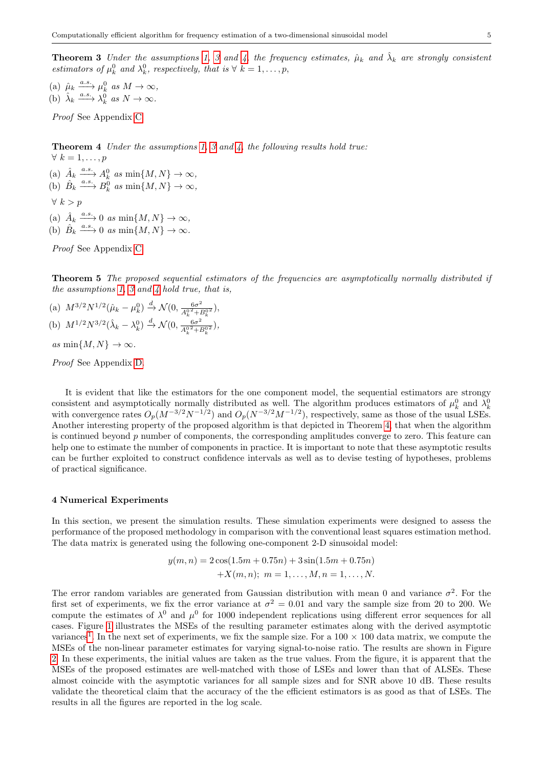**Theorem [3](#page-3-0)** Under the assumptions [1,](#page-2-1) 3 and [4,](#page-3-1) the frequency estimates,  $\hat{\mu}_k$  and  $\hat{\lambda}_k$  are strongly consistent estimators of  $\mu_k^0$  and  $\lambda_k^0$ , respectively, that is  $\forall k = 1, \ldots, p$ ,

(a)  $\hat{\mu}_k \xrightarrow{a.s.} \mu_k^0 \text{ as } M \to \infty$ , (b)  $\hat{\lambda}_k \xrightarrow{a.s.} \lambda_k^0 \text{ as } N \to \infty.$ 

Proof See Appendix [C.](#page-9-0)

<span id="page-4-1"></span>Theorem 4 Under the assumptions [1,](#page-2-1) [3](#page-3-0) and [4,](#page-3-1) the following results hold true:  $\forall k = 1, \ldots, p$ 

(a)  $\hat{A}_k \xrightarrow{a.s.} A_k^0 \text{ as } \min\{M, N\} \to \infty$ , (b)  $\hat{B}_k \xrightarrow{a.s.} B_k^0 \text{ as } \min\{M, N\} \to \infty$ ,

 $\forall k > p$ 

(a)  $\hat{A}_k \xrightarrow{a.s.} 0 \text{ as } \min\{M, N\} \to \infty$ ,

(b)  $\hat{B}_k \xrightarrow{a.s.} 0 \text{ as } \min\{M, N\} \to \infty.$ 

Proof See Appendix [C.](#page-9-0)

<span id="page-4-2"></span>Theorem 5 The proposed sequential estimators of the frequencies are asymptotically normally distributed if the assumptions [1,](#page-2-1) [3](#page-3-0) and [4](#page-3-1) hold true, that is,

(a)  $M^{3/2}N^{1/2}(\hat{\mu}_k - \mu_k^0) \stackrel{d}{\to} \mathcal{N}(0, \frac{6\sigma^2}{A^0\lambda + 1})$  $\frac{6\sigma^2}{A_k^0{}^2+B_k^0{}^2},$ (b)  $M^{1/2}N^{3/2}(\hat{\lambda}_k - \lambda_k^0) \stackrel{d}{\to} \mathcal{N}(0, \frac{6\sigma^2}{A^0-1})$  $\frac{6\sigma^2}{A_k^0{}^2+B_k^0{}^2},$ 

as  $\min\{M, N\} \to \infty$ .

Proof See Appendix [D.](#page-14-7)

It is evident that like the estimators for the one component model, the sequential estimators are strongy consistent and asymptotically normally distributed as well. The algorithm produces estimators of  $\mu_k^0$  and  $\lambda_k^0$ with convergence rates  $O_p(M^{-3/2}N^{-1/2})$  and  $O_p(N^{-3/2}M^{-1/2})$ , respectively, same as those of the usual LSEs. Another interesting property of the proposed algorithm is that depicted in Theorem [4,](#page-4-1) that when the algorithm is continued beyond  $p$  number of components, the corresponding amplitudes converge to zero. This feature can help one to estimate the number of components in practice. It is important to note that these asymptotic results can be further exploited to construct confidence intervals as well as to devise testing of hypotheses, problems of practical significance.

## <span id="page-4-0"></span>4 Numerical Experiments

In this section, we present the simulation results. These simulation experiments were designed to assess the performance of the proposed methodology in comparison with the conventional least squares estimation method. The data matrix is generated using the following one-component 2-D sinusoidal model:

$$
y(m, n) = 2\cos(1.5m + 0.75n) + 3\sin(1.5m + 0.75n)
$$

$$
+X(m, n); m = 1, ..., M, n = 1, ..., N.
$$

The error random variables are generated from Gaussian distribution with mean 0 and variance  $\sigma^2$ . For the first set of experiments, we fix the error variance at  $\sigma^2 = 0.01$  and vary the sample size from 20 to 200. We compute the estimates of  $\lambda^0$  and  $\mu^0$  for 1000 independent replications using different error sequences for all cases. Figure [1](#page-5-0) illustrates the MSEs of the resulting parameter estimates along with the derived asymptotic variances<sup>[1](#page-5-1)</sup>. In the next set of experiments, we fix the sample size. For a  $100 \times 100$  data matrix, we compute the MSEs of the non-linear parameter estimates for varying signal-to-noise ratio. The results are shown in Figure [2.](#page-5-2) In these experiments, the initial values are taken as the true values. From the figure, it is apparent that the MSEs of the proposed estimates are well-matched with those of LSEs and lower than that of ALSEs. These almost coincide with the asymptotic variances for all sample sizes and for SNR above 10 dB. These results validate the theoretical claim that the accuracy of the the efficient estimators is as good as that of LSEs. The results in all the figures are reported in the log scale.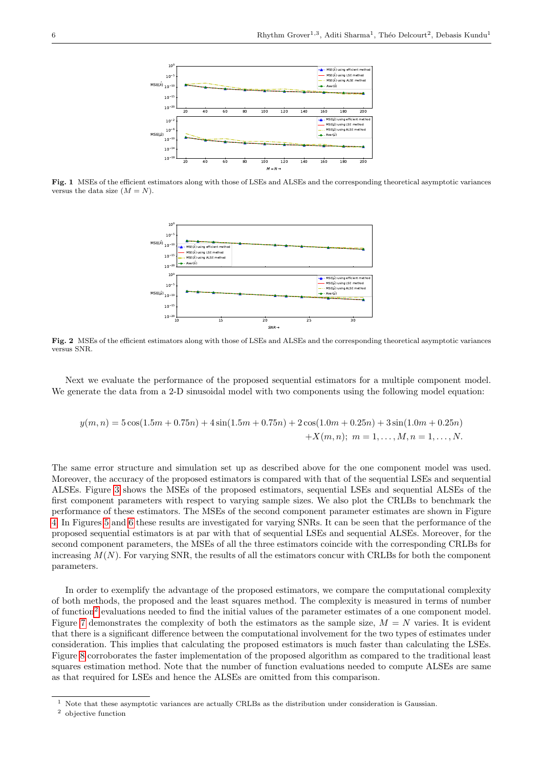

<span id="page-5-0"></span>Fig. 1 MSEs of the efficient estimators along with those of LSEs and ALSEs and the corresponding theoretical asymptotic variances versus the data size  $(M = N)$ .



<span id="page-5-2"></span>Fig. 2 MSEs of the efficient estimators along with those of LSEs and ALSEs and the corresponding theoretical asymptotic variances versus SNR.

Next we evaluate the performance of the proposed sequential estimators for a multiple component model. We generate the data from a 2-D sinusoidal model with two components using the following model equation:

$$
y(m,n) = 5\cos(1.5m + 0.75n) + 4\sin(1.5m + 0.75n) + 2\cos(1.0m + 0.25n) + 3\sin(1.0m + 0.25n)
$$
  
+ $X(m,n)$ ;  $m = 1,..., M, n = 1,..., N$ .

The same error structure and simulation set up as described above for the one component model was used. Moreover, the accuracy of the proposed estimators is compared with that of the sequential LSEs and sequential ALSEs. Figure [3](#page-6-0) shows the MSEs of the proposed estimators, sequential LSEs and sequential ALSEs of the first component parameters with respect to varying sample sizes. We also plot the CRLBs to benchmark the performance of these estimators. The MSEs of the second component parameter estimates are shown in Figure [4.](#page-6-1) In Figures [5](#page-6-2) and [6](#page-6-3) these results are investigated for varying SNRs. It can be seen that the performance of the proposed sequential estimators is at par with that of sequential LSEs and sequential ALSEs. Moreover, for the second component parameters, the MSEs of all the three estimators coincide with the corresponding CRLBs for increasing  $M(N)$ . For varying SNR, the results of all the estimators concur with CRLBs for both the component parameters.

In order to exemplify the advantage of the proposed estimators, we compare the computational complexity of both methods, the proposed and the least squares method. The complexity is measured in terms of number of function<sup>[2](#page-5-3)</sup> evaluations needed to find the initial values of the parameter estimates of a one component model. Figure [7](#page-7-2) demonstrates the complexity of both the estimators as the sample size,  $M = N$  varies. It is evident that there is a significant difference between the computational involvement for the two types of estimates under consideration. This implies that calculating the proposed estimators is much faster than calculating the LSEs. Figure [8](#page-7-3) corroborates the faster implementation of the proposed algorithm as compared to the traditional least squares estimation method. Note that the number of function evaluations needed to compute ALSEs are same as that required for LSEs and hence the ALSEs are omitted from this comparison.

<span id="page-5-1"></span><sup>1</sup> Note that these asymptotic variances are actually CRLBs as the distribution under consideration is Gaussian.

<span id="page-5-3"></span><sup>2</sup> objective function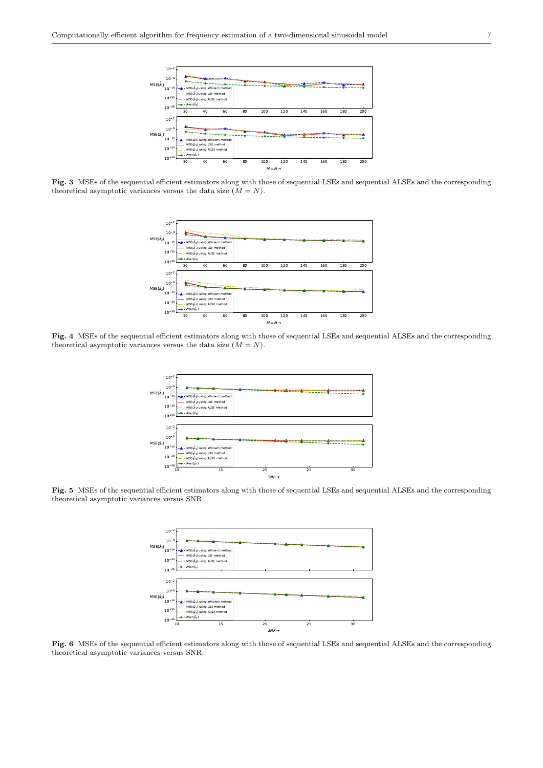

<span id="page-6-0"></span>Fig. 3 MSEs of the sequential efficient estimators along with those of sequential LSEs and sequential ALSEs and the corresponding theoretical asymptotic variances versus the data size  $(M = N)$ .



<span id="page-6-1"></span>Fig. 4 MSEs of the sequential efficient estimators along with those of sequential LSEs and sequential ALSEs and the corresponding theoretical asymptotic variances versus the data size  $(M = N)$ .



<span id="page-6-2"></span>Fig. 5 MSEs of the sequential efficient estimators along with those of sequential LSEs and sequential ALSEs and the corresponding theoretical asymptotic variances versus SNR.



<span id="page-6-3"></span>Fig. 6 MSEs of the sequential efficient estimators along with those of sequential LSEs and sequential ALSEs and the corresponding theoretical asymptotic variances versus SNR.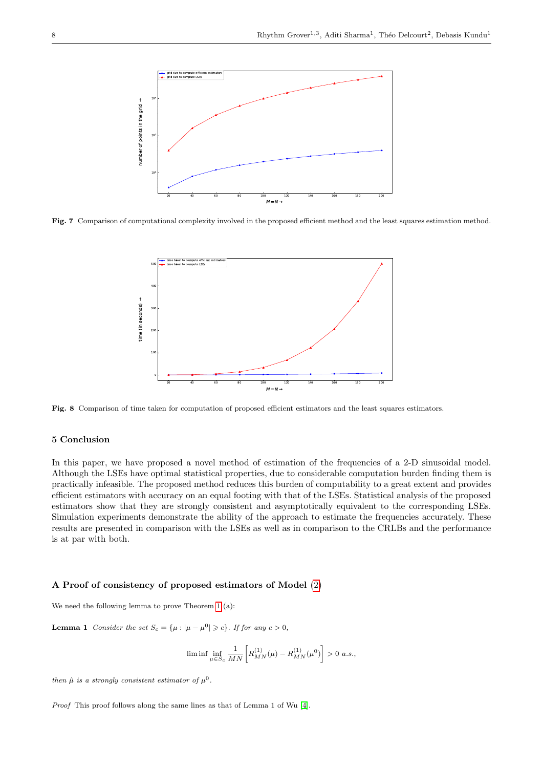

<span id="page-7-2"></span>Fig. 7 Comparison of computational complexity involved in the proposed efficient method and the least squares estimation method.



<span id="page-7-3"></span>Fig. 8 Comparison of time taken for computation of proposed efficient estimators and the least squares estimators.

## <span id="page-7-0"></span>5 Conclusion

In this paper, we have proposed a novel method of estimation of the frequencies of a 2-D sinusoidal model. Although the LSEs have optimal statistical properties, due to considerable computation burden finding them is practically infeasible. The proposed method reduces this burden of computability to a great extent and provides efficient estimators with accuracy on an equal footing with that of the LSEs. Statistical analysis of the proposed estimators show that they are strongly consistent and asymptotically equivalent to the corresponding LSEs. Simulation experiments demonstrate the ability of the approach to estimate the frequencies accurately. These results are presented in comparison with the LSEs as well as in comparison to the CRLBs and the performance is at par with both.

#### <span id="page-7-1"></span>A Proof of consistency of proposed estimators of Model [\(2\)](#page-1-0)

We need the following lemma to prove Theorem [1](#page-2-3) (a):

**Lemma 1** Consider the set  $S_c = {\mu : |\mu - \mu^0| \geq c}$ . If for any  $c > 0$ ,

<span id="page-7-4"></span>
$$
\liminf_{\mu \in S_c} \frac{1}{MN} \bigg[ R^{(1)}_{MN}(\mu) - R^{(1)}_{MN}(\mu^0) \bigg] > 0 \ a.s.,
$$

then  $\hat{\mu}$  is a strongly consistent estimator of  $\mu^0$ .

Proof This proof follows along the same lines as that of Lemma 1 of Wu [\[4\]](#page-14-8).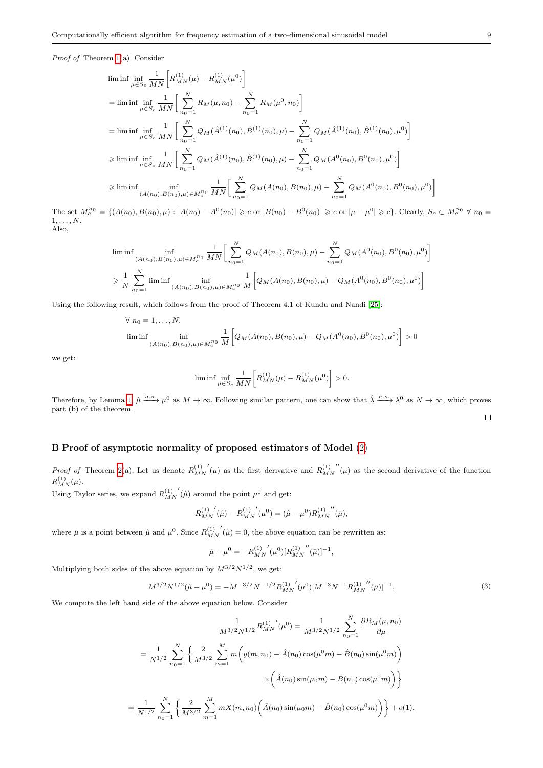Proof of Theorem [1\(](#page-2-3)a). Consider

$$
\begin{split} &\liminf\inf\limits_{\mu\in S_c}\inf\limits_{\overline{MN}}\left[R^{(1)}_{MN}(\mu)-R^{(1)}_{MN}(\mu^0)\right]\\ &=\liminf\limits_{\mu\in S_c}\inf\limits_{\overline{MN}}\left[\sum\limits_{n_0=1}^N R_M(\mu,n_0)-\sum\limits_{n_0=1}^N R_M(\mu^0,n_0)\right]\\ &=\liminf\limits_{\mu\in S_c}\inf\limits_{\overline{MN}}\left[\sum\limits_{n_0=1}^N Q_M(\hat A^{(1)}(n_0),\hat B^{(1)}(n_0),\mu)-\sum\limits_{n_0=1}^N Q_M(\hat A^{(1)}(n_0),\hat B^{(1)}(n_0),\mu^0)\right]\\ &\geqslant \liminf\limits_{\mu\in S_c}\inf\limits_{\overline{MN}}\left[\sum\limits_{n_0=1}^N Q_M(\hat A^{(1)}(n_0),\hat B^{(1)}(n_0),\mu)-\sum\limits_{n_0=1}^N Q_M(A^0(n_0),B^0(n_0),\mu^0)\right]\\ &\geqslant \liminf\limits_{(A(n_0),B(n_0),\mu)\in M_c^{n_0}}\frac{1}{MN}\bigg[\sum\limits_{n_0=1}^N Q_M(A(n_0),B(n_0),\mu)-\sum\limits_{n_0=1}^N Q_M(A^0(n_0),B^0(n_0),\mu^0)\bigg] \end{split}
$$

The set  $M_c^{n_0} = \{(A(n_0), B(n_0), \mu) : |A(n_0) - A^0(n_0)| \geq c \text{ or } |B(n_0) - B^0(n_0)| \geq c \text{ or } |\mu - \mu^0| \geq c\}$ . Clearly,  $S_c \subset M_c^{n_0} \forall n_0 =$  $1, \ldots, N$ . Also,

$$
\liminf_{(A(n_0), B(n_0), \mu) \in M_c^{n_0}} \frac{1}{MN} \bigg[ \sum_{n_0=1}^N Q_M(A(n_0), B(n_0), \mu) - \sum_{n_0=1}^N Q_M(A^0(n_0), B^0(n_0), \mu^0) \bigg]
$$
  
\n
$$
\geq \frac{1}{N} \sum_{n_0=1}^N \liminf_{(A(n_0), B(n_0), \mu) \in M_c^{n_0}} \frac{1}{M} \bigg[ Q_M(A(n_0), B(n_0), \mu) - Q_M(A^0(n_0), B^0(n_0), \mu^0) \bigg]
$$

Using the following result, which follows from the proof of Theorem 4.1 of Kundu and Nandi [\[25\]](#page-15-15):

$$
\forall n_0 = 1,..., N,
$$
  
\n
$$
\liminf_{(A(n_0), B(n_0), \mu) \in M_c^{n_0}} \frac{1}{M} \bigg[ Q_M(A(n_0), B(n_0), \mu) - Q_M(A^0(n_0), B^0(n_0), \mu^0) \bigg] > 0
$$

we get:

$$
\liminf \inf_{\mu \in S_c} \frac{1}{M N} \bigg[ R^{(1)}_{MN}(\mu) - R^{(1)}_{MN}(\mu^0) \bigg] > 0.
$$

Therefore, by Lemma [1,](#page-7-4)  $\hat{\mu} \stackrel{a.s.}{\longrightarrow} \mu^0$  as  $M \to \infty$ . Following similar pattern, one can show that  $\hat{\lambda} \stackrel{a.s.}{\longrightarrow} \lambda^0$  as  $N \to \infty$ , which proves part (b) of the theorem.  $\Box$ 

# <span id="page-8-0"></span>B Proof of asymptotic normality of proposed estimators of Model [\(2\)](#page-1-0)

*Proof of* Theorem [2\(](#page-2-4)a). Let us denote  $R_{MN}^{(1)}$  $\mu'(\mu)$  as the first derivative and  $R_{MN}^{(1)}$  $\mu''(\mu)$  as the second derivative of the function  $R^{(1)}_{MN}(\mu).$ 

Using Taylor series, we expand  $R_{MN}^{(1)}$  $\hat{\mu}$  ( $\hat{\mu}$ ) around the point  $\mu^0$  and get:

$$
{R^{(1)}_{MN}}'(\hat{\mu})-{R^{(1)}_{MN}}'(\mu^0)=(\hat{\mu}-\mu^0){R^{(1)}_{MN}}''(\bar{\mu}),
$$

where  $\bar{\mu}$  is a point between  $\hat{\mu}$  and  $\mu^0$ . Since  $R_{MN}^{(1)}$  $\hat{p}(\hat{\mu}) = 0$ , the above equation can be rewritten as:

$$
\hat{\mu} - \mu^{0} = -R_{MN}^{(1)''}(\mu^{0})[R_{MN}^{(1)'''}(\bar{\mu})]^{-1},
$$

<span id="page-8-1"></span>Multiplying both sides of the above equation by  $M^{3/2}N^{1/2}$ , we get:

$$
M^{3/2}N^{1/2}(\hat{\mu} - \mu^0) = -M^{-3/2}N^{-1/2}R_{MN}^{(1)'}(\mu^0)[M^{-3}N^{-1}R_{MN}^{(1)''}(\bar{\mu})]^{-1},\tag{3}
$$

We compute the left hand side of the above equation below. Consider

$$
\frac{1}{M^{3/2}N^{1/2}}R_{MN}^{(1)'}(\mu^{0}) = \frac{1}{M^{3/2}N^{1/2}}\sum_{n_{0}=1}^{N}\frac{\partial R_{M}(\mu, n_{0})}{\partial \mu}
$$

$$
= \frac{1}{N^{1/2}}\sum_{n_{0}=1}^{N}\left\{\frac{2}{M^{3/2}}\sum_{m=1}^{M}m\left(y(m, n_{0}) - \hat{A}(n_{0})\cos(\mu^{0}m) - \hat{B}(n_{0})\sin(\mu^{0}m)\right)\right\}
$$

$$
\times \left(\hat{A}(n_{0})\sin(\mu_{0}m) - \hat{B}(n_{0})\cos(\mu^{0}m)\right)\right\}
$$

$$
= \frac{1}{N^{1/2}}\sum_{n_{0}=1}^{N}\left\{\frac{2}{M^{3/2}}\sum_{m=1}^{M}mX(m, n_{0})\left(\hat{A}(n_{0})\sin(\mu_{0}m) - \hat{B}(n_{0})\cos(\mu^{0}m)\right)\right\} + o(1).
$$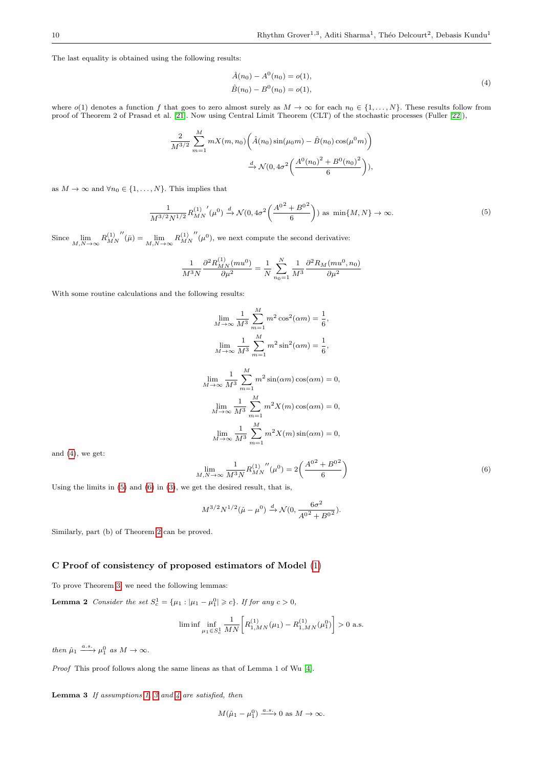<span id="page-9-1"></span>The last equality is obtained using the following results:

$$
\hat{A}(n_0) - A^0(n_0) = o(1), \n\hat{B}(n_0) - B^0(n_0) = o(1),
$$
\n(4)

where  $o(1)$  denotes a function f that goes to zero almost surely as  $M \to \infty$  for each  $n_0 \in \{1, \ldots, N\}$ . These results follow from proof of Theorem 2 of Prasad et al. [\[21\]](#page-15-16). Now using Central Limit Theorem (CLT) of the stochastic processes (Fuller [\[22\]](#page-15-17)),

$$
\frac{2}{M^{3/2}} \sum_{m=1}^{M} mX(m, n_0) \left( \hat{A}(n_0) \sin(\mu_0 m) - \hat{B}(n_0) \cos(\mu^0 m) \right)
$$

$$
\xrightarrow{d} \mathcal{N}(0, 4\sigma^2 \left( \frac{A^0 (n_0)^2 + B^0 (n_0)^2}{6} \right)),
$$

<span id="page-9-2"></span>as  $M \to \infty$  and  $\forall n_0 \in \{1, ..., N\}$ . This implies that

$$
\frac{1}{M^{3/2}N^{1/2}}R_{MN}^{(1)'}(\mu^0) \xrightarrow{d} \mathcal{N}(0, 4\sigma^2 \left(\frac{A^{0^2} + B^{0^2}}{6}\right)) \text{ as } \min\{M, N\} \to \infty.
$$
 (5)

Since  $\lim_{M,N\to\infty} R^{(1)}_{MN}$  $^{\prime\prime}(\bar{\mu}) = \lim_{M,N \to \infty} R_{MN}^{(1)}$  $\mu^{(0)}(\mu^{0}),$  we next compute the second derivative:

$$
\frac{1}{M^3 N} \frac{\partial^2 R_{MN}^{(1)}(m u^0)}{\partial \mu^2} = \frac{1}{N} \sum_{n_0=1}^N \frac{1}{M^3} \frac{\partial^2 R_M(m u^0, n_0)}{\partial \mu^2}
$$

With some routine calculations and the following results:

$$
\lim_{M \to \infty} \frac{1}{M^3} \sum_{m=1}^{M} m^2 \cos^2(\alpha m) = \frac{1}{6},
$$
  
\n
$$
\lim_{M \to \infty} \frac{1}{M^3} \sum_{m=1}^{M} m^2 \sin^2(\alpha m) = \frac{1}{6},
$$
  
\n
$$
\lim_{M \to \infty} \frac{1}{M^3} \sum_{m=1}^{M} m^2 \sin(\alpha m) \cos(\alpha m) = 0,
$$
  
\n
$$
\lim_{M \to \infty} \frac{1}{M^3} \sum_{m=1}^{M} m^2 X(m) \cos(\alpha m) = 0,
$$
  
\n
$$
\lim_{M \to \infty} \frac{1}{M^3} \sum_{m=1}^{M} m^2 X(m) \sin(\alpha m) = 0,
$$

and [\(4\)](#page-9-1), we get:

<span id="page-9-3"></span>
$$
\lim_{M,N \to \infty} \frac{1}{M^3 N} R_{MN}^{(1)''}(\mu^0) = 2 \left( \frac{A^{0^2} + B^{0^2}}{6} \right)
$$
\n(6)

Using the limits in [\(5\)](#page-9-2) and [\(6\)](#page-9-3) in [\(3\)](#page-8-1), we get the desired result, that is,

$$
M^{3/2}N^{1/2}(\hat{\mu} - \mu^0) \xrightarrow{d} \mathcal{N}(0, \frac{6\sigma^2}{A^{0.2} + B^{0.2}}).
$$

Similarly, part (b) of Theorem [2](#page-2-4) can be proved.

## <span id="page-9-0"></span>C Proof of consistency of proposed estimators of Model [\(1\)](#page-0-0)

To prove Theorem [3,](#page-3-2) we need the following lemmas:

**Lemma 2** Consider the set  $S_c^1 = {\mu_1 : |\mu_1 - \mu_1^0| \geq c}$ . If for any  $c > 0$ ,

$$
\liminf \inf_{\mu_1 \in S_c^1} \frac{1}{M N} \bigg[ R_{1,MN}^{(1)}(\mu_1) - R_{1,MN}^{(1)}(\mu_1^0) \bigg] > 0 \text{ a.s.}
$$

then  $\hat{\mu}_1 \xrightarrow{a.s.} \mu_1^0$  as  $M \to \infty$ .

Proof This proof follows along the same lineas as that of Lemma 1 of Wu [\[4\]](#page-14-8).

**Lemma [3](#page-3-0)** If assumptions [1,](#page-2-1) 3 and  $4$  are satisfied, then

$$
M(\hat{\mu}_1 - \mu_1^0) \xrightarrow{a.s.} 0 \text{ as } M \to \infty.
$$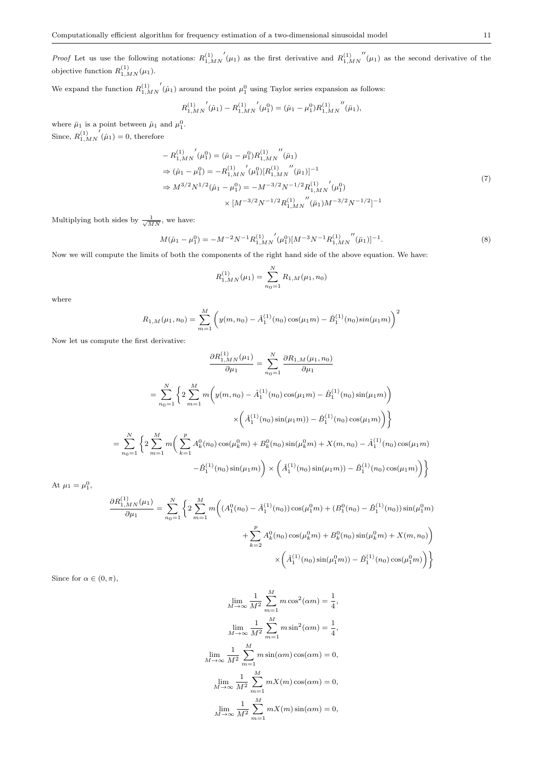We expand the function  $R_{1,MN}^{(1)}$  $\dot{\left( \hat{\mu}_1 \right)}$  around the point  $\mu_1^0$  using Taylor series expansion as follows:

$$
{R_{1,MN}^{(1)}}'(\hat{\mu}_1) - {R_{1,MN}^{(1)}}'(\mu_1^0) = (\hat{\mu}_1 - \mu_1^0) {R_{1,MN}^{(1)}}''(\bar{\mu}_1),
$$

where  $\bar{\mu}_1$  is a point between  $\hat{\mu}_1$  and  $\mu_1^0$ . Since,  $R_{1,MN}^{(1)}$  $(\hat{\mu}_1) = 0$ , therefore

$$
- R_{1,MN}^{(1)}(\mu_1^0) = (\hat{\mu}_1 - \mu_1^0) R_{1,MN}^{(1)}''(\bar{\mu}_1)
$$
  
\n
$$
\Rightarrow (\hat{\mu}_1 - \mu_1^0) = -R_{1,MN}^{(1)}'(\mu_1^0) [R_{1,MN}^{(1)}''(\bar{\mu}_1)]^{-1}
$$
  
\n
$$
\Rightarrow M^{3/2} N^{1/2}(\hat{\mu}_1 - \mu_1^0) = -M^{-3/2} N^{-1/2} R_{1,MN}^{(1)}'(\mu_1^0)
$$
  
\n
$$
\times [M^{-3/2} N^{-1/2} R_{1,MN}^{(1)}''(\bar{\mu}_1) M^{-3/2} N^{-1/2}]^{-1}
$$
\n(7)

<span id="page-10-1"></span>Multiplying both sides by  $\frac{1}{\sqrt{MN}}$ , we have:

<span id="page-10-0"></span>
$$
M(\hat{\mu}_1 - \mu_1^0) = -M^{-2}N^{-1}R_{1,MN}^{(1)''}(\mu_1^0)[M^{-3}N^{-1}R_{1,MN}^{(1)'''}(\bar{\mu}_1)]^{-1}.
$$
\n(8)

Now we will compute the limits of both the components of the right hand side of the above equation. We have:

$$
R_{1,MN}^{(1)}(\mu_1) = \sum_{n_0=1}^{N} R_{1,M}(\mu_1, n_0)
$$

where

$$
R_{1,M}(\mu_1,n_0) = \sum_{m=1}^{M} \left( y(m,n_0) - \hat{A}_1^{(1)}(n_0) \cos(\mu_1 m) - \hat{B}_1^{(1)}(n_0) \sin(\mu_1 m) \right)^2
$$

Now let us compute the first derivative:

$$
\frac{\partial R_{1,MN}^{(1)}(\mu_{1})}{\partial \mu_{1}} = \sum_{n_{0}=1}^{N} \frac{\partial R_{1,M}(\mu_{1},n_{0})}{\partial \mu_{1}}
$$

$$
= \sum_{n_{0}=1}^{N} \left\{ 2 \sum_{m=1}^{M} m \bigg( y(m,n_{0}) - \hat{A}_{1}^{(1)}(n_{0}) \cos(\mu_{1}m) - \hat{B}_{1}^{(1)}(n_{0}) \sin(\mu_{1}m) \bigg) \right\}
$$

$$
\times \left( \hat{A}_{1}^{(1)}(n_{0}) \sin(\mu_{1}m) \right) - \hat{B}_{1}^{(1)}(n_{0}) \cos(\mu_{1}m) \bigg) \right\}
$$

$$
= \sum_{n_{0}=1}^{N} \left\{ 2 \sum_{m=1}^{M} m \bigg( \sum_{k=1}^{p} A_{k}^{0}(n_{0}) \cos(\mu_{k}^{0}m) + B_{k}^{0}(n_{0}) \sin(\mu_{k}^{0}m) + X(m,n_{0}) - \hat{A}_{1}^{(1)}(n_{0}) \cos(\mu_{1}m) - \hat{B}_{1}^{(1)}(n_{0}) \sin(\mu_{1}m) \bigg) \times \left( \hat{A}_{1}^{(1)}(n_{0}) \sin(\mu_{1}m) \right) - \hat{B}_{1}^{(1)}(n_{0}) \cos(\mu_{1}m) \right\}
$$

At  $\mu_1 = \mu_1^0$ ,

$$
\frac{\partial R_{1,MN}^{(1)}(\mu_1)}{\partial \mu_1} = \sum_{n_0=1}^{N} \left\{ 2 \sum_{m=1}^{M} m \bigg( (A_1^0(n_0) - \hat{A}_1^{(1)}(n_0)) \cos(\mu_1^0 m) + (B_1^0(n_0) - \hat{B}_1^{(1)}(n_0)) \sin(\mu_1^0 m) + \sum_{k=2}^{p} A_k^0(n_0) \cos(\mu_k^0 m) + B_k^0(n_0) \sin(\mu_k^0 m) + X(m, n_0) \bigg) \right\}
$$

$$
\times \left( \hat{A}_1^{(1)}(n_0) \sin(\mu_1^0 m) - \hat{B}_1^{(1)}(n_0) \cos(\mu_1^0 m) \right) \right\}
$$

Since for  $\alpha \in (0, \pi)$ ,

$$
\lim_{M \to \infty} \frac{1}{M^2} \sum_{m=1}^{M} m \cos^2(\alpha m) = \frac{1}{4},
$$
  

$$
\lim_{M \to \infty} \frac{1}{M^2} \sum_{m=1}^{M} m \sin^2(\alpha m) = \frac{1}{4},
$$
  

$$
\lim_{M \to \infty} \frac{1}{M^2} \sum_{m=1}^{M} m \sin(\alpha m) \cos(\alpha m) = 0,
$$
  

$$
\lim_{M \to \infty} \frac{1}{M^2} \sum_{m=1}^{M} mX(m) \cos(\alpha m) = 0,
$$
  

$$
\lim_{M \to \infty} \frac{1}{M^2} \sum_{m=1}^{M} mX(m) \sin(\alpha m) = 0,
$$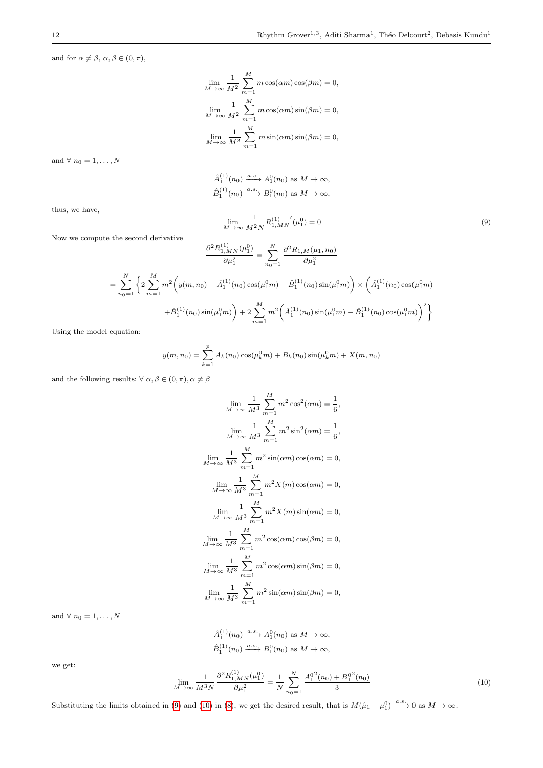$\sigma'(\mu_1^0) = 0$  (9)

and for  $\alpha \neq \beta, \, \alpha, \beta \in (0, \pi),$ 

$$
\lim_{M \to \infty} \frac{1}{M^2} \sum_{m=1}^{M} m \cos(\alpha m) \cos(\beta m) = 0,
$$
  

$$
\lim_{M \to \infty} \frac{1}{M^2} \sum_{m=1}^{M} m \cos(\alpha m) \sin(\beta m) = 0,
$$
  

$$
\lim_{M \to \infty} \frac{1}{M^2} \sum_{m=1}^{M} m \sin(\alpha m) \sin(\beta m) = 0,
$$

and  $\forall n_0 = 1, \ldots, N$ 

$$
\hat{A}_1^{(1)}(n_0) \xrightarrow{a.s.} A_1^0(n_0) \text{ as } M \to \infty,
$$
  

$$
\hat{B}_1^{(1)}(n_0) \xrightarrow{a.s.} B_1^0(n_0) \text{ as } M \to \infty,
$$

1  $\frac{1}{M^2N}R_{1,MN}^{(1)}$ 

<span id="page-11-0"></span> $\lim_{M\to\infty}$ 

thus, we have,

Now we compute the second derivative

$$
\frac{\partial^2 R_{1,MN}^{(1)}(\mu_1^0)}{\partial \mu_1^2} = \sum_{n_0=1}^N \frac{\partial^2 R_{1,M}(\mu_1, n_0)}{\partial \mu_1^2}
$$

$$
= \sum_{n_0=1}^N \left\{ 2 \sum_{m=1}^M m^2 \left( y(m, n_0) - \hat{A}_1^{(1)}(n_0) \cos(\mu_1^0 m) - \hat{B}_1^{(1)}(n_0) \sin(\mu_1^0 m) \right) \times \left( \hat{A}_1^{(1)}(n_0) \cos(\mu_1^0 m) + \hat{B}_1^{(1)}(n_0) \sin(\mu_1^0 m) \right) + 2 \sum_{m=1}^M m^2 \left( \hat{A}_1^{(1)}(n_0) \sin(\mu_1^0 m) - \hat{B}_1^{(1)}(n_0) \cos(\mu_1^0 m) \right)^2 \right\}
$$

Using the model equation:

$$
y(m, n_0) = \sum_{k=1}^{p} A_k(n_0) \cos(\mu_k^0 m) + B_k(n_0) \sin(\mu_k^0 m) + X(m, n_0)
$$

and the following results:  $\forall \alpha, \beta \in (0, \pi), \alpha \neq \beta$ 

$$
\lim_{M \to \infty} \frac{1}{M^3} \sum_{m=1}^{M} m^2 \cos^2(\alpha m) = \frac{1}{6},
$$
  
\n
$$
\lim_{M \to \infty} \frac{1}{M^3} \sum_{m=1}^{M} m^2 \sin^2(\alpha m) = \frac{1}{6},
$$
  
\n
$$
\lim_{M \to \infty} \frac{1}{M^3} \sum_{m=1}^{M} m^2 \sin(\alpha m) \cos(\alpha m) = 0,
$$
  
\n
$$
\lim_{M \to \infty} \frac{1}{M^3} \sum_{m=1}^{M} m^2 X(m) \cos(\alpha m) = 0,
$$
  
\n
$$
\lim_{M \to \infty} \frac{1}{M^3} \sum_{m=1}^{M} m^2 X(m) \sin(\alpha m) = 0,
$$
  
\n
$$
\lim_{M \to \infty} \frac{1}{M^3} \sum_{m=1}^{M} m^2 \cos(\alpha m) \cos(\beta m) = 0,
$$
  
\n
$$
\lim_{M \to \infty} \frac{1}{M^3} \sum_{m=1}^{M} m^2 \cos(\alpha m) \sin(\beta m) = 0,
$$
  
\n
$$
\lim_{M \to \infty} \frac{1}{M^3} \sum_{m=1}^{M} m^2 \sin(\alpha m) \sin(\beta m) = 0,
$$

and  $\forall n_0 = 1, \ldots, N$ 

$$
\hat{A}_1^{(1)}(n_0) \xrightarrow{a.s.} A_1^0(n_0) \text{ as } M \to \infty,
$$
  

$$
\hat{B}_1^{(1)}(n_0) \xrightarrow{a.s.} B_1^0(n_0) \text{ as } M \to \infty,
$$

we get:

<span id="page-11-1"></span>
$$
\lim_{M \to \infty} \frac{1}{M^3 N} \frac{\partial^2 R_{1,MN}^{(1)}(\mu_1^0)}{\partial \mu_1^2} = \frac{1}{N} \sum_{n_0=1}^N \frac{A_1^{0^2}(n_0) + B_1^{0^2}(n_0)}{3} \tag{10}
$$

Substituting the limits obtained in [\(9\)](#page-11-0) and [\(10\)](#page-11-1) in [\(8\)](#page-10-0), we get the desired result, that is  $M(\hat{\mu}_1 - \mu_1^0) \xrightarrow{a.s.} 0$  as  $M \to \infty$ .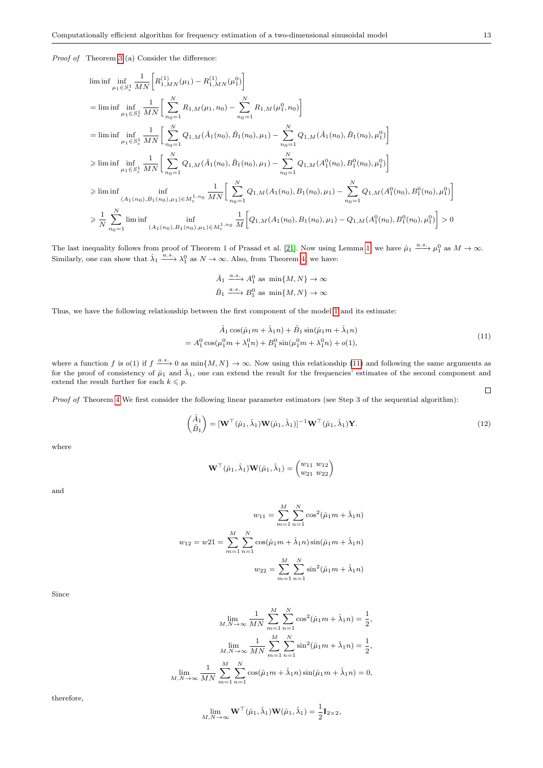Proof of Theorem [3](#page-3-2) (a) Consider the difference:

$$
\begin{split} &\liminf_{\mu_{1}\in S_{c}^{1}}\frac{1}{MN}\bigg[R_{1,MN}^{(1)}(\mu_{1})-R_{1,MN}^{(1)}(\mu_{1}^{0})\bigg]\\ &=\liminf_{\mu_{1}\in S_{c}^{1}}\frac{1}{MN}\bigg[\sum_{n_{0}=1}^{N}R_{1,M}(\mu_{1},n_{0})-\sum_{n_{0}=1}^{N}R_{1,M}(\mu_{1}^{0},n_{0})\bigg]\\ &=\liminf_{\mu_{1}\in S_{c}^{1}}\frac{1}{MN}\bigg[\sum_{n_{0}=1}^{N}Q_{1,M}(\hat{A}_{1}(n_{0}),\hat{B}_{1}(n_{0}),\mu_{1})-\sum_{n_{0}=1}^{N}Q_{1,M}(\hat{A}_{1}(n_{0}),\hat{B}_{1}(n_{0}),\mu_{1}^{0})\bigg]\\ &\geqslant\liminf_{\mu_{1}\in S_{c}^{1}}\frac{1}{MN}\bigg[\sum_{n_{0}=1}^{N}Q_{1,M}(\hat{A}_{1}(n_{0}),\hat{B}_{1}(n_{0}),\mu_{1})-\sum_{n_{0}=1}^{N}Q_{1,M}(A_{1}^{0}(n_{0}),B_{1}^{0}(n_{0}),\mu_{1}^{0})\bigg]\\ &\geqslant\liminf_{(A_{1}(n_{0}),B_{1}(n_{0}),\mu_{1})\in M_{c}^{1,n_{0}}}\frac{1}{MN}\bigg[\sum_{n_{0}=1}^{N}Q_{1,M}(A_{1}(n_{0}),B_{1}(n_{0}),\mu_{1})-\sum_{n_{0}=1}^{N}Q_{1,M}(A_{1}^{0}(n_{0}),B_{1}^{0}(n_{0}),\mu_{1}^{0})\bigg]\\ &\geqslant\frac{1}{N}\sum_{n_{0}=1}^{N}\liminf_{(A_{1}(n_{0}),B_{1}(n_{0}),\mu_{1})\in M_{c}^{1,n_{0}}}\frac{1}{M}\bigg[Q_{1,M}(A_{1}(n_{0}),B_{1}(n_{0}),\mu_{1})-Q_{1,M}(A_{1}^{0}(n_{0}),B_{1}^{0}(n_{0}),\mu_{1}^{0})\bigg]>0 \end{split}
$$

The last inequality follows from proof of Theorem 1 of Prasad et al. [\[21\]](#page-15-16). Now using Lemma [1,](#page-7-4) we have  $\hat{\mu}_1 \stackrel{a.s.}{\longrightarrow} \mu_1^0$  as  $M \to \infty$ . Similarly, one can show that  $\hat{\lambda}_1 \xrightarrow{a.s.} \lambda_1^0$  as  $N \to \infty$ . Also, from Theorem [4,](#page-4-1) we have:

$$
\hat{A}_1 \xrightarrow{a.s.} A_1^0 \text{ as } \min\{M, N\} \to \infty
$$
  

$$
\hat{B}_1 \xrightarrow{a.s.} B_1^0 \text{ as } \min\{M, N\} \to \infty
$$

<span id="page-12-0"></span>Thus, we have the following relationship between the first component of the model [1](#page-0-0) and its estimate:

$$
\hat{A}_1 \cos(\hat{\mu}_1 m + \hat{\lambda}_1 n) + \hat{B}_1 \sin(\hat{\mu}_1 m + \hat{\lambda}_1 n) \n= A_1^0 \cos(\mu_1^0 m + \lambda_1^0 n) + B_1^0 \sin(\mu_1^0 m + \lambda_1^0 n) + o(1),
$$
\n(11)

where a function f is  $o(1)$  if  $f \xrightarrow{a.s.} 0$  as  $\min\{M, N\} \to \infty$ . Now using this relationship [\(11\)](#page-12-0) and following the same arguments as for the proof of consistency of  $\hat{\mu}_1$  and  $\hat{\lambda}_1$ , one can extend the result for the frequencies' estimates of the second component and extend the result further for each  $k \leq p$ .  $\Box$ 

Proof of Theorem [4](#page-4-1) We first consider the following linear parameter estimators (see Step 3 of the sequential algorithm):

<span id="page-12-1"></span>
$$
\begin{pmatrix} \hat{A}_1 \\ \hat{B}_1 \end{pmatrix} = [\mathbf{W}^\top (\hat{\mu}_1, \hat{\lambda}_1) \mathbf{W} (\hat{\mu}_1, \hat{\lambda}_1)]^{-1} \mathbf{W}^\top (\hat{\mu}_1, \hat{\lambda}_1) \mathbf{Y}.
$$
\n(12)

where

$$
\mathbf{W}^{\top}(\hat{\mu}_1, \hat{\lambda}_1) \mathbf{W}(\hat{\mu}_1, \hat{\lambda}_1) = \begin{pmatrix} w_{11} & w_{12} \\ w_{21} & w_{22} \end{pmatrix}
$$

and

$$
w_{11} = \sum_{m=1}^{M} \sum_{n=1}^{N} \cos^{2}(\hat{\mu}_{1}m + \hat{\lambda}_{1}n)
$$

$$
w_{12} = w21 = \sum_{m=1}^{M} \sum_{n=1}^{N} \cos(\hat{\mu}_{1}m + \hat{\lambda}_{1}n) \sin(\hat{\mu}_{1}m + \hat{\lambda}_{1}n)
$$

$$
w_{22} = \sum_{m=1}^{M} \sum_{n=1}^{N} \sin^{2}(\hat{\mu}_{1}m + \hat{\lambda}_{1}n)
$$

Since

$$
\lim_{M,N \to \infty} \frac{1}{MN} \sum_{m=1}^{M} \sum_{n=1}^{N} \cos^2(\hat{\mu}_1 m + \hat{\lambda}_1 n) = \frac{1}{2},
$$
  

$$
\lim_{M,N \to \infty} \frac{1}{MN} \sum_{m=1}^{M} \sum_{n=1}^{N} \sin^2(\hat{\mu}_1 m + \hat{\lambda}_1 n) = \frac{1}{2},
$$
  

$$
\lim_{M \to \infty} \frac{1}{M} \sum_{m=1}^{M} \sum_{n=1}^{N} \cos(\hat{\mu}_1 m + \hat{\lambda}_1 n) \sin(\hat{\mu}_1 m + \hat{\lambda}_1 n) = 0.
$$

$$
\lim_{M,N\to\infty}\frac{1}{MN}\sum_{m=1}\sum_{n=1}\cos(\hat{\mu}_1m+\hat{\lambda}_1n)\sin(\hat{\mu}_1m+\hat{\lambda}_1n)=0,
$$

therefore,

$$
\lim_{M,N\to\infty} \mathbf{W}^\top(\hat{\mu}_1, \hat{\lambda}_1) \mathbf{W}(\hat{\mu}_1, \hat{\lambda}_1) = \frac{1}{2} \mathbf{I}_{2\times 2},
$$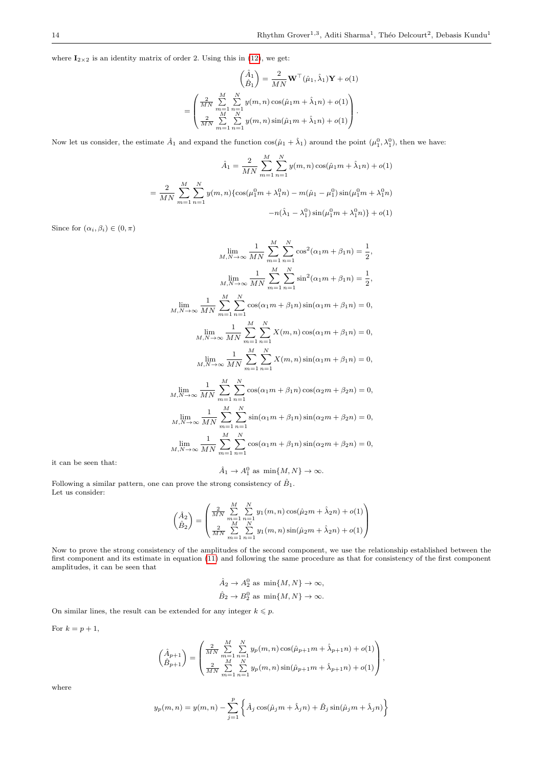where  $I_{2\times 2}$  is an identity matrix of order 2. Using this in [\(12\)](#page-12-1), we get:

$$
\begin{pmatrix}\n\hat{A}_1 \\
\hat{B}_1\n\end{pmatrix} = \frac{2}{MN}\mathbf{W}^\top(\hat{\mu}_1, \hat{\lambda}_1)\mathbf{Y} + o(1)
$$
\n
$$
= \begin{pmatrix}\n\frac{2}{MN} \sum_{m=1}^M \sum_{n=1}^N y(m, n) \cos(\hat{\mu}_1 m + \hat{\lambda}_1 n) + o(1) \\
\frac{2}{MN} \sum_{m=1}^M \sum_{n=1}^N y(m, n) \sin(\hat{\mu}_1 m + \hat{\lambda}_1 n) + o(1)\n\end{pmatrix}.
$$

Now let us consider, the estimate  $\hat{A}_1$  and expand the function  $\cos(\hat{\mu}_1 + \hat{\lambda}_1)$  around the point  $(\mu_1^0, \lambda_1^0)$ , then we have:

$$
\hat{A}_1 = \frac{2}{MN} \sum_{m=1}^M \sum_{n=1}^N y(m, n) \cos(\hat{\mu}_1 m + \hat{\lambda}_1 n) + o(1)
$$

$$
= \frac{2}{MN} \sum_{m=1}^M \sum_{n=1}^N y(m, n) \{ \cos(\mu_1^0 m + \lambda_1^0 n) - m(\hat{\mu}_1 - \mu_1^0) \sin(\mu_1^0 m + \lambda_1^0 n) - n(\hat{\lambda}_1 - \lambda_1^0) \sin(\mu_1^0 m + \lambda_1^0 n) \} + o(1)
$$

Since for  $(\alpha_i, \beta_i) \in (0, \pi)$ 

$$
\lim_{M,N \to \infty} \frac{1}{MN} \sum_{m=1}^{M} \sum_{n=1}^{N} \cos^{2}(\alpha_{1}m + \beta_{1}n) = \frac{1}{2},
$$
\n
$$
\lim_{M,N \to \infty} \frac{1}{MN} \sum_{m=1}^{M} \sum_{n=1}^{N} \sin^{2}(\alpha_{1}m + \beta_{1}n) = \frac{1}{2},
$$
\n
$$
\lim_{M,N \to \infty} \frac{1}{MN} \sum_{m=1}^{M} \sum_{n=1}^{N} \cos(\alpha_{1}m + \beta_{1}n) \sin(\alpha_{1}m + \beta_{1}n) = 0,
$$
\n
$$
\lim_{M,N \to \infty} \frac{1}{MN} \sum_{m=1}^{M} \sum_{n=1}^{N} X(m,n) \cos(\alpha_{1}m + \beta_{1}n) = 0,
$$
\n
$$
\lim_{M,N \to \infty} \frac{1}{MN} \sum_{m=1}^{M} \sum_{n=1}^{N} X(m,n) \sin(\alpha_{1}m + \beta_{1}n) = 0,
$$
\n
$$
\lim_{M,N \to \infty} \frac{1}{MN} \sum_{m=1}^{M} \sum_{n=1}^{N} \cos(\alpha_{1}m + \beta_{1}n) \cos(\alpha_{2}m + \beta_{2}n) = 0,
$$
\n
$$
\lim_{M,N \to \infty} \frac{1}{MN} \sum_{m=1}^{M} \sum_{n=1}^{N} \sin(\alpha_{1}m + \beta_{1}n) \sin(\alpha_{2}m + \beta_{2}n) = 0,
$$
\n
$$
\lim_{M,N \to \infty} \frac{1}{MN} \sum_{m=1}^{M} \sum_{n=1}^{N} \cos(\alpha_{1}m + \beta_{1}n) \sin(\alpha_{2}m + \beta_{2}n) = 0,
$$
\n
$$
\lim_{M,N \to \infty} \frac{1}{MN} \sum_{m=1}^{M} \sum_{n=1}^{N} \cos(\alpha_{1}m + \beta_{1}n) \sin(\alpha_{2}m + \beta_{2}n) = 0,
$$

it can be seen that:

$$
\hat{A}_1 \to A_1^0 \text{ as } \min\{M, N\} \to \infty.
$$

Following a similar pattern, one can prove the strong consistency of  $\hat{B}_1$ . Let us consider:

$$
\begin{pmatrix} \hat{A}_2\\ \hat{B}_2 \end{pmatrix} = \begin{pmatrix} \frac{2}{MN} \sum_{m=1}^{M} \sum_{n=1}^{N} y_1(m,n) \cos(\hat{\mu}_2 m + \hat{\lambda}_2 n) + o(1) \\ \frac{2}{MN} \sum_{m=1}^{M} \sum_{n=1}^{N} y_1(m,n) \sin(\hat{\mu}_2 m + \hat{\lambda}_2 n) + o(1) \end{pmatrix}
$$

Now to prove the strong consistency of the amplitudes of the second component, we use the relationship established between the first component and its estimate in equation [\(11\)](#page-12-0) and following the same procedure as that for consistency of the first component amplitudes, it can be seen that

$$
\hat{A}_2 \to A_2^0 \text{ as } \min\{M, N\} \to \infty,
$$
  

$$
\hat{B}_2 \to B_2^0 \text{ as } \min\{M, N\} \to \infty.
$$

On similar lines, the result can be extended for any integer  $k\leqslant p.$ 

For  $k = p + 1$ ,

$$
\begin{pmatrix} \hat{A}_{p+1} \\ \hat{B}_{p+1} \end{pmatrix} = \begin{pmatrix} \frac{2}{MN} \sum_{m=1}^{M} \sum_{n=1}^{N} y_p(m,n) \cos(\hat{\mu}_{p+1}m + \hat{\lambda}_{p+1}n) + o(1) \\ \frac{2}{MN} \sum_{m=1}^{M} \sum_{n=1}^{N} y_p(m,n) \sin(\hat{\mu}_{p+1}m + \hat{\lambda}_{p+1}n) + o(1) \end{pmatrix},
$$

where

$$
y_p(m,n) = y(m,n) - \sum_{j=1}^p \left\{ \hat{A}_j \cos(\hat{\mu}_j m + \hat{\lambda}_j n) + \hat{B}_j \sin(\hat{\mu}_j m + \hat{\lambda}_j n) \right\}
$$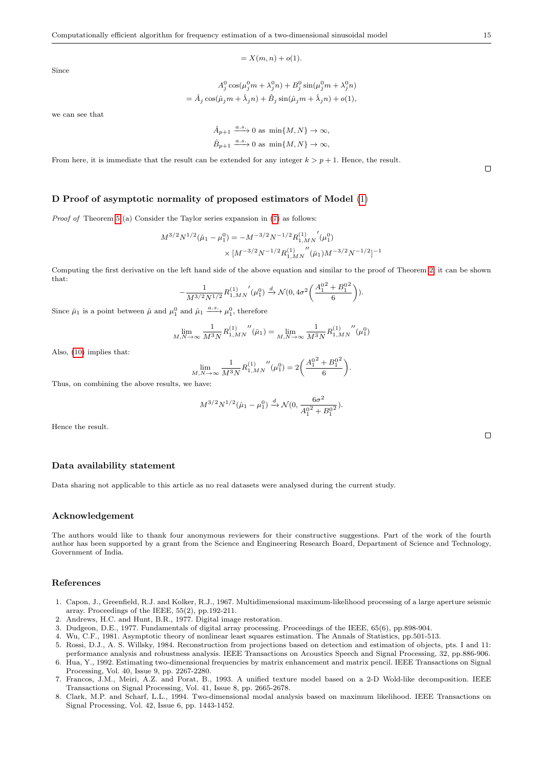$$
= X(m, n) + o(1).
$$

Since

$$
A_j^0 \cos(\mu_j^0 m + \lambda_j^0 n) + B_j^0 \sin(\mu_j^0 m + \lambda_j^0 n)
$$
  
=  $\hat{A}_j \cos(\hat{\mu}_j m + \hat{\lambda}_j n) + \hat{B}_j \sin(\hat{\mu}_j m + \hat{\lambda}_j n) + o(1),$ 

we can see that

$$
\hat{A}_{p+1} \xrightarrow{a.s.} 0 \text{ as } \min\{M, N\} \to \infty,
$$
  

$$
\hat{B}_{p+1} \xrightarrow{a.s.} 0 \text{ as } \min\{M, N\} \to \infty,
$$

From here, it is immediate that the result can be extended for any integer  $k > p + 1$ . Hence, the result.

### <span id="page-14-7"></span>D Proof of asymptotic normality of proposed estimators of Model [\(1\)](#page-0-0)

Proof of Theorem [5](#page-4-2) (a) Consider the Taylor series expansion in [\(7\)](#page-10-1) as follows:

$$
\begin{split} M^{3/2} N^{1/2}(\hat{\mu}_1 - \mu_1^0) &= - M^{-3/2} N^{-1/2} R_{1,MN}^{(1)}{}'(\mu_1^0) \\ &\times [M^{-3/2} N^{-1/2} R_{1,MN}^{(1)}{}''(\bar{\mu}_1) M^{-3/2} N^{-1/2}]^{-1} \end{split}
$$

Computing the first derivative on the left hand side of the above equation and similar to the proof of Theorem [2,](#page-2-4) it can be shown that:  $22$ 

$$
-\frac{1}{M^{3/2}N^{1/2}}{R}^{(1)}_{1,MN}(\mu_1^0)\xrightarrow{d} \mathcal{N}(0,4\sigma^2\bigg(\frac{A_1^{0^2}+B_1^{0^2}}{6}\bigg)).
$$

Since  $\bar{\mu}_1$  is a point between  $\hat{\mu}$  and  $\mu_1^0$  and  $\hat{\mu}_1 \xrightarrow{a.s.} \mu_1^0$ , therefore

$$
\lim_{M,N \to \infty} \frac{1}{M^3 N} R_{1,MN}^{(1)}''(\bar{\mu}_1) = \lim_{M,N \to \infty} \frac{1}{M^3 N} R_{1,MN}^{(1)}''(\mu_1^0)
$$

Also, [\(10\)](#page-11-1) implies that:

$$
\lim_{M,N\to\infty}\frac{1}{M^3N}{R_{1,MN}^{(1)}}''(\mu_1^0)=2\bigg(\frac{A_1^{0^2}+B_1^{0^2}}{6}\bigg).
$$

Thus, on combining the above results, we have:

$$
M^{3/2}N^{1/2}(\hat{\mu}_1 - \mu_1^0) \xrightarrow{d} \mathcal{N}(0, \frac{6\sigma^2}{A_1^{0^2} + B_1^{0^2}}).
$$

Hence the result.

#### Data availability statement

Data sharing not applicable to this article as no real datasets were analysed during the current study.

#### Acknowledgement

The authors would like to thank four anonymous reviewers for their constructive suggestions. Part of the work of the fourth author has been supported by a grant from the Science and Engineering Research Board, Department of Science and Technology, Government of India.

#### References

- <span id="page-14-0"></span>1. Capon, J., Greenfield, R.J. and Kolker, R.J., 1967. Multidimensional maximum-likelihood processing of a large aperture seismic array. Proceedings of the IEEE, 55(2), pp.192-211.
- <span id="page-14-1"></span>2. Andrews, H.C. and Hunt, B.R., 1977. Digital image restoration.
- <span id="page-14-2"></span>3. Dudgeon, D.E., 1977. Fundamentals of digital array processing. Proceedings of the IEEE, 65(6), pp.898-904.
- <span id="page-14-8"></span>4. Wu, C.F., 1981. Asymptotic theory of nonlinear least squares estimation. The Annals of Statistics, pp.501-513.
- <span id="page-14-3"></span>5. Rossi, D.J., A. S. Willsky, 1984. Reconstruction from projections based on detection and estimation of objects, pts. I and 11:
- <span id="page-14-4"></span>performance analysis and robustness analysis. IEEE Transactions on Acoustics Speech and Signal Processing, 32, pp.886-906. 6. Hua, Y., 1992. Estimating two-dimensional frequencies by matrix enhancement and matrix pencil. IEEE Transactions on Signal Processing, Vol. 40, Issue 9, pp. 2267-2280.
- <span id="page-14-5"></span>7. Francos, J.M., Meiri, A.Z. and Porat, B., 1993. A unified texture model based on a 2-D Wold-like decomposition. IEEE Transactions on Signal Processing, Vol. 41, Issue 8, pp. 2665-2678.
- <span id="page-14-6"></span>8. Clark, M.P. and Scharf, L.L., 1994. Two-dimensional modal analysis based on maximum likelihood. IEEE Transactions on Signal Processing, Vol. 42, Issue 6, pp. 1443-1452.

 $\Box$ 

 $\Box$